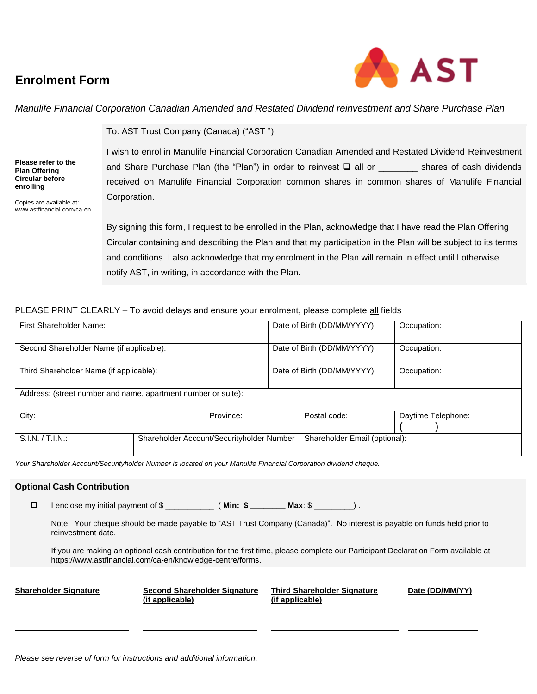# **Enrolment Form**



*Manulife Financial Corporation Canadian Amended and Restated Dividend reinvestment and Share Purchase Plan*

To: AST Trust Company (Canada) ("AST ")

**Please refer to the Plan Offering Circular before enrolling**

Copies are available at: www.astfinancial.com/ca-en I wish to enrol in Manulife Financial Corporation Canadian Amended and Restated Dividend Reinvestment and Share Purchase Plan (the "Plan") in order to reinvest  $\Box$  all or \_\_\_\_\_\_\_\_ shares of cash dividends received on Manulife Financial Corporation common shares in common shares of Manulife Financial Corporation.

By signing this form, I request to be enrolled in the Plan, acknowledge that I have read the Plan Offering Circular containing and describing the Plan and that my participation in the Plan will be subject to its terms and conditions. I also acknowledge that my enrolment in the Plan will remain in effect until I otherwise notify AST, in writing, in accordance with the Plan.

## PLEASE PRINT CLEARLY – To avoid delays and ensure your enrolment, please complete all fields

| First Shareholder Name:                                       |                                           | Date of Birth (DD/MM/YYYY):   | Occupation:        |  |  |  |
|---------------------------------------------------------------|-------------------------------------------|-------------------------------|--------------------|--|--|--|
| Second Shareholder Name (if applicable):                      |                                           | Date of Birth (DD/MM/YYYY):   | Occupation:        |  |  |  |
| Third Shareholder Name (if applicable):                       |                                           | Date of Birth (DD/MM/YYYY):   | Occupation:        |  |  |  |
| Address: (street number and name, apartment number or suite): |                                           |                               |                    |  |  |  |
| City:                                                         | Province:                                 | Postal code:                  | Daytime Telephone: |  |  |  |
| S.I.N. / T.I.N.:                                              | Shareholder Account/Securityholder Number | Shareholder Email (optional): |                    |  |  |  |

*Your Shareholder Account/Securityholder Number is located on your Manulife Financial Corporation dividend cheque.*

#### **Optional Cash Contribution**

I enclose my initial payment of \$ \_\_\_\_\_\_\_\_\_\_\_ ( **Min: \$ \_\_\_\_\_\_\_\_ Max**: \$ \_\_\_\_\_\_\_\_\_) .

Note: Your cheque should be made payable to "AST Trust Company (Canada)". No interest is payable on funds held prior to reinvestment date.

If you are making an optional cash contribution for the first time, please complete our Participant Declaration Form available at https://www.astfinancial.com/ca-en/knowledge-centre/forms.

| <b>Shareholder Signature</b> | <b>Second Shareholder Signature</b><br>(if applicable) | <b>Third Shareholder Signature</b><br>(if applicable) | Date (DD/MM/YY) |
|------------------------------|--------------------------------------------------------|-------------------------------------------------------|-----------------|
|                              |                                                        |                                                       |                 |